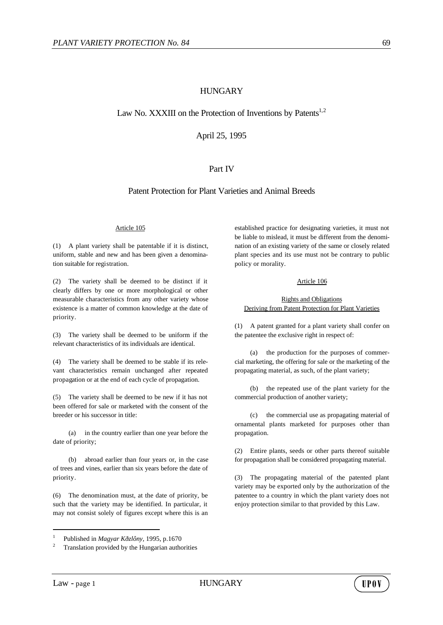# HUNGARY

# Law No. XXXIII on the Protection of Inventions by Patents<sup>1,2</sup>

April 25, 1995

# Part IV

# Patent Protection for Plant Varieties and Animal Breeds

## Article 105

(1) A plant variety shall be patentable if it is distinct, uniform, stable and new and has been given a denomination suitable for registration.

(2) The variety shall be deemed to be distinct if it clearly differs by one or more morphological or other measurable characteristics from any other variety whose existence is a matter of common knowledge at the date of priority.

(3) The variety shall be deemed to be uniform if the relevant characteristics of its individuals are identical.

(4) The variety shall be deemed to be stable if its relevant characteristics remain unchanged after repeated propagation or at the end of each cycle of propagation.

(5) The variety shall be deemed to be new if it has not been offered for sale or marketed with the consent of the breeder or his successor in title:

(a) in the country earlier than one year before the date of priority;

(b) abroad earlier than four years or, in the case of trees and vines, earlier than six years before the date of priority.

(6) The denomination must, at the date of priority, be such that the variety may be identified. In particular, it may not consist solely of figures except where this is an established practice for designating varieties, it must not be liable to mislead, it must be different from the denomination of an existing variety of the same or closely related plant species and its use must not be contrary to public policy or morality.

## Article 106

## Rights and Obligations Deriving from Patent Protection for Plant Varieties

(1) A patent granted for a plant variety shall confer on the patentee the exclusive right in respect of:

(a) the production for the purposes of commercial marketing, the offering for sale or the marketing of the propagating material, as such, of the plant variety;

(b) the repeated use of the plant variety for the commercial production of another variety;

(c) the commercial use as propagating material of ornamental plants marketed for purposes other than propagation.

(2) Entire plants, seeds or other parts thereof suitable for propagation shall be considered propagating material.

(3) The propagating material of the patented plant variety may be exported only by the authorization of the patentee to a country in which the plant variety does not enjoy protection similar to that provided by this Law.

l



<sup>1</sup> Published in *Magyar Kðzlôny,* 1995, p.1670

<sup>2</sup> Translation provided by the Hungarian authorities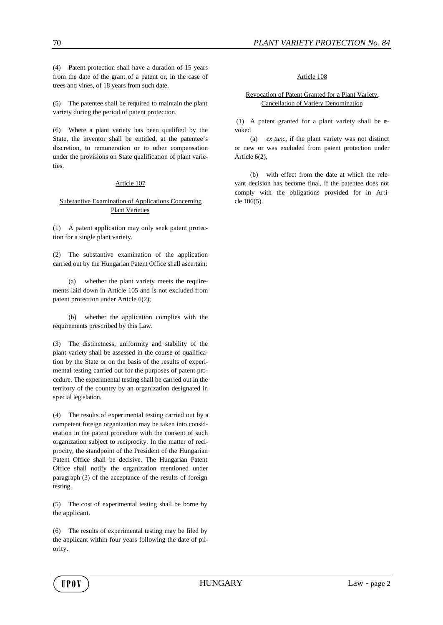(4) Patent protection shall have a duration of 15 years from the date of the grant of a patent or, in the case of trees and vines, of 18 years from such date.

(5) The patentee shall be required to maintain the plant variety during the period of patent protection.

(6) Where a plant variety has been qualified by the State, the inventor shall be entitled, at the patentee's discretion, to remuneration or to other compensation under the provisions on State qualification of plant varieties.

## Article 107

## Substantive Examination of Applications Concerning Plant Varieties

(1) A patent application may only seek patent protection for a single plant variety.

(2) The substantive examination of the application carried out by the Hungarian Patent Office shall ascertain:

(a) whether the plant variety meets the requirements laid down in Article 105 and is not excluded from patent protection under Article 6(2);

(b) whether the application complies with the requirements prescribed by this Law.

(3) The distinctness, uniformity and stability of the plant variety shall be assessed in the course of qualification by the State or on the basis of the results of experimental testing carried out for the purposes of patent procedure. The experimental testing shall be carried out in the territory of the country by an organization designated in special legislation.

(4) The results of experimental testing carried out by a competent foreign organization may be taken into consideration in the patent procedure with the consent of such organization subject to reciprocity. In the matter of reciprocity, the standpoint of the President of the Hungarian Patent Office shall be decisive. The Hungarian Patent Office shall notify the organization mentioned under paragraph (3) of the acceptance of the results of foreign testing.

(5) The cost of experimental testing shall be borne by the applicant.

(6) The results of experimental testing may be filed by the applicant within four years following the date of priority.

### Article 108

## Revocation of Patent Granted for a Plant Variety, Cancellation of Variety Denomination

 (1) A patent granted for a plant variety shall be revoked

(a) *ex tunc*, if the plant variety was not distinct or new or was excluded from patent protection under Article 6(2),

(b) with effect from the date at which the relevant decision has become final, if the patentee does not comply with the obligations provided for in Article 106(5).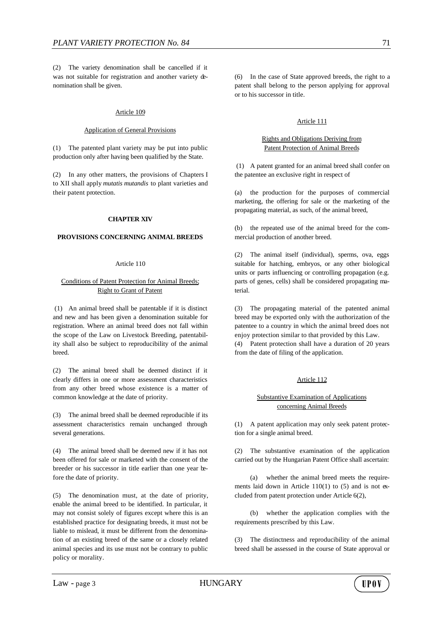(2) The variety denomination shall be cancelled if it was not suitable for registration and another variety denomination shall be given.

#### Article 109

#### Application of General Provisions

(1) The patented plant variety may be put into public production only after having been qualified by the State.

(2) In any other matters, the provisions of Chapters I to XII shall apply *mutatis mutandis* to plant varieties and their patent protection.

#### **CHAPTER XIV**

#### **PROVISIONS CONCERNING ANIMAL BREEDS**

#### Article 110

## Conditions of Patent Protection for Animal Breeds; Right to Grant of Patent

 (1) An animal breed shall be patentable if it is distinct and new and has been given a denomination suitable for registration. Where an animal breed does not fall within the scope of the Law on Livestock Breeding, patentability shall also be subject to reproducibility of the animal breed.

(2) The animal breed shall be deemed distinct if it clearly differs in one or more assessment characteristics from any other breed whose existence is a matter of common knowledge at the date of priority.

(3) The animal breed shall be deemed reproducible if its assessment characteristics remain unchanged through several generations.

(4) The animal breed shall be deemed new if it has not been offered for sale or marketed with the consent of the breeder or his successor in title earlier than one year before the date of priority.

(5) The denomination must, at the date of priority, enable the animal breed to be identified. In particular, it may not consist solely of figures except where this is an established practice for designating breeds, it must not be liable to mislead, it must be different from the denomination of an existing breed of the same or a closely related animal species and its use must not be contrary to public policy or morality.

(6) In the case of State approved breeds, the right to a patent shall belong to the person applying for approval or to his successor in title.

### Article 111

## Rights and Obligations Deriving from Patent Protection of Animal Breeds

 (1) A patent granted for an animal breed shall confer on the patentee an exclusive right in respect of

(a) the production for the purposes of commercial marketing, the offering for sale or the marketing of the propagating material, as such, of the animal breed,

(b) the repeated use of the animal breed for the commercial production of another breed.

(2) The animal itself (individual), sperms, ova, eggs suitable for hatching, embryos, or any other biological units or parts influencing or controlling propagation (e.g. parts of genes, cells) shall be considered propagating material.

(3) The propagating material of the patented animal breed may be exported only with the authorization of the patentee to a country in which the animal breed does not enjoy protection similar to that provided by this Law.

(4) Patent protection shall have a duration of 20 years from the date of filing of the application.

### Article 112

## Substantive Examination of Applications concerning Animal Breeds

(1) A patent application may only seek patent protection for a single animal breed.

(2) The substantive examination of the application carried out by the Hungarian Patent Office shall ascertain:

(a) whether the animal breed meets the requirements laid down in Article 110(1) to (5) and is not excluded from patent protection under Article 6(2),

(b) whether the application complies with the requirements prescribed by this Law.

(3) The distinctness and reproducibility of the animal breed shall be assessed in the course of State approval or